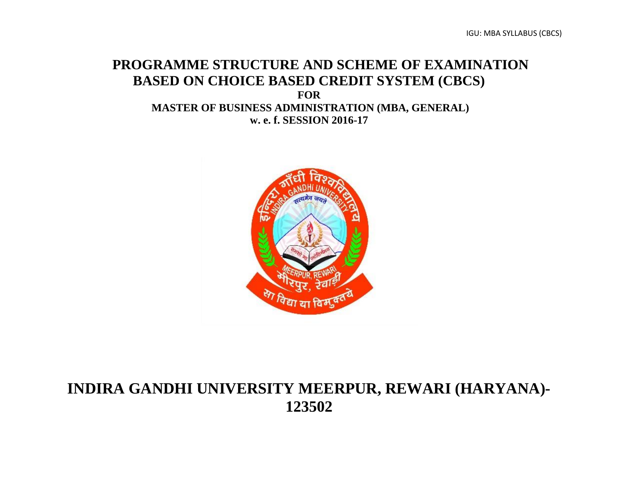# **PROGRAMME STRUCTURE AND SCHEME OF EXAMINATION BASED ON CHOICE BASED CREDIT SYSTEM (CBCS) FOR**

**MASTER OF BUSINESS ADMINISTRATION (MBA, GENERAL) w. e. f. SESSION 2016-17**



# **INDIRA GANDHI UNIVERSITY MEERPUR, REWARI (HARYANA)- 123502**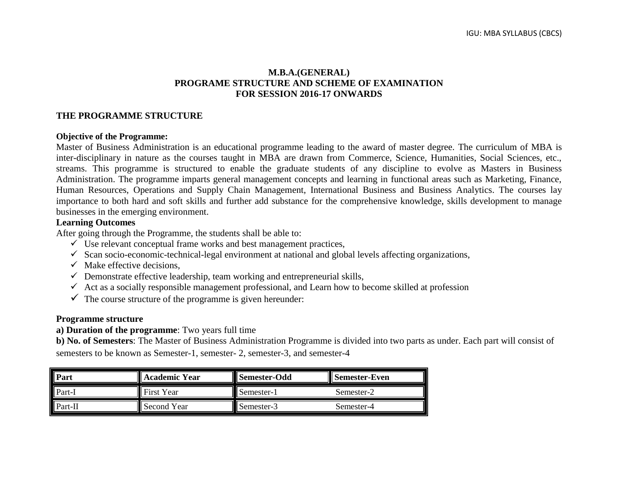# **M.B.A.(GENERAL) PROGRAME STRUCTURE AND SCHEME OF EXAMINATION FOR SESSION 2016-17 ONWARDS**

#### **THE PROGRAMME STRUCTURE**

#### **Objective of the Programme:**

Master of Business Administration is an educational programme leading to the award of master degree. The curriculum of MBA is inter-disciplinary in nature as the courses taught in MBA are drawn from Commerce, Science, Humanities, Social Sciences, etc., streams. This programme is structured to enable the graduate students of any discipline to evolve as Masters in Business Administration. The programme imparts general management concepts and learning in functional areas such as Marketing, Finance, Human Resources, Operations and Supply Chain Management, International Business and Business Analytics. The courses lay importance to both hard and soft skills and further add substance for the comprehensive knowledge, skills development to manage businesses in the emerging environment.

#### **Learning Outcomes**

After going through the Programme, the students shall be able to:

- $\checkmark$  Use relevant conceptual frame works and best management practices,
- ✓ Scan socio-economic-technical-legal environment at national and global levels affecting organizations,
- $\checkmark$  Make effective decisions.
- $\checkmark$  Demonstrate effective leadership, team working and entrepreneurial skills,
- $\checkmark$  Act as a socially responsible management professional, and Learn how to become skilled at profession
- $\checkmark$  The course structure of the programme is given hereunder:

#### **Programme structure**

**a) Duration of the programme**: Two years full time

**b) No. of Semesters**: The Master of Business Administration Programme is divided into two parts as under. Each part will consist of semesters to be known as Semester-1, semester-2, semester-3, and semester-4

| Part               | <b>Academic Year</b> | Semester-Odd | Semester-Even |
|--------------------|----------------------|--------------|---------------|
| Part-I             | <b>First Year</b>    | Semester-1   | Semester-2    |
| $\mathbf{Part-II}$ | Second Year          | Semester-3   | Semester-4    |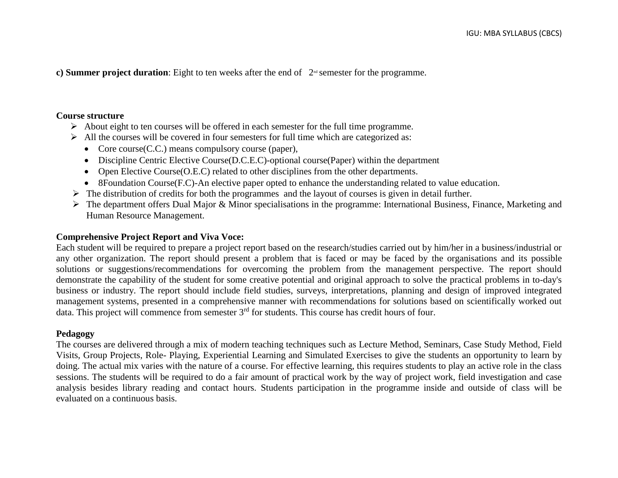**c) Summer project duration**: Eight to ten weeks after the end of  $2<sup>nd</sup>$  semester for the programme.

#### **Course structure**

- ➢ About eight to ten courses will be offered in each semester for the full time programme.
- $\triangleright$  All the courses will be covered in four semesters for full time which are categorized as:
	- Core course (C.C.) means compulsory course (paper),
	- Discipline Centric Elective Course(D.C.E.C)-optional course(Paper) within the department
	- Open Elective Course (O.E.C) related to other disciplines from the other departments.
	- 8Foundation Course(F.C)-An elective paper opted to enhance the understanding related to value education.
- $\triangleright$  The distribution of credits for both the programmes and the layout of courses is given in detail further.
- ➢ The department offers Dual Major & Minor specialisations in the programme: International Business, Finance, Marketing and Human Resource Management.

# **Comprehensive Project Report and Viva Voce:**

Each student will be required to prepare a project report based on the research/studies carried out by him/her in a business/industrial or any other organization. The report should present a problem that is faced or may be faced by the organisations and its possible solutions or suggestions/recommendations for overcoming the problem from the management perspective. The report should demonstrate the capability of the student for some creative potential and original approach to solve the practical problems in to-day's business or industry. The report should include field studies, surveys, interpretations, planning and design of improved integrated management systems, presented in a comprehensive manner with recommendations for solutions based on scientifically worked out data. This project will commence from semester 3<sup>rd</sup> for students. This course has credit hours of four.

# **Pedagogy**

The courses are delivered through a mix of modern teaching techniques such as Lecture Method, Seminars, Case Study Method, Field Visits, Group Projects, Role- Playing, Experiential Learning and Simulated Exercises to give the students an opportunity to learn by doing. The actual mix varies with the nature of a course. For effective learning, this requires students to play an active role in the class sessions. The students will be required to do a fair amount of practical work by the way of project work, field investigation and case analysis besides library reading and contact hours. Students participation in the programme inside and outside of class will be evaluated on a continuous basis.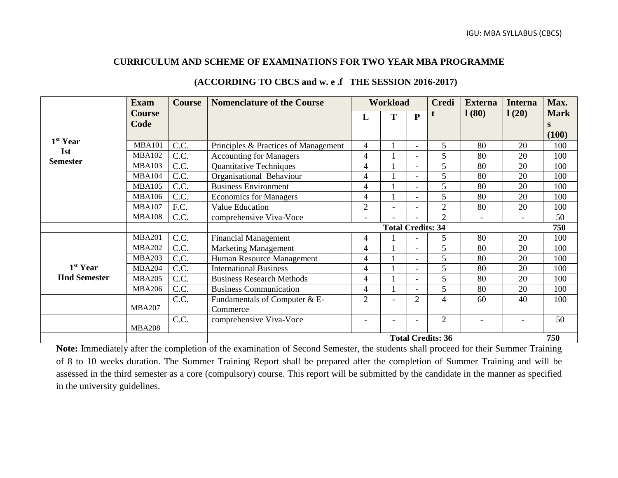#### **CURRICULUM AND SCHEME OF EXAMINATIONS FOR TWO YEAR MBA PROGRAMME**

|                      | <b>Exam</b>   | <b>Course</b> | <b>Nomenclature of the Course</b>    |                          | <b>Workload</b> |                          | <b>Credi</b>             | <b>Externa</b> | <b>Interna</b>           | Max.        |
|----------------------|---------------|---------------|--------------------------------------|--------------------------|-----------------|--------------------------|--------------------------|----------------|--------------------------|-------------|
|                      | <b>Course</b> |               |                                      | L                        | T               | $\mathbf{P}$             |                          | 1(80)          | 1(20)                    | <b>Mark</b> |
|                      | Code          |               |                                      |                          |                 |                          |                          |                |                          | S           |
| 1 <sup>st</sup> Year |               |               |                                      |                          |                 |                          |                          |                |                          | (100)       |
| <b>Ist</b>           | <b>MBA101</b> | C.C.          | Principles & Practices of Management | 4                        |                 | $\overline{a}$           | 5                        | 80             | 20                       | 100         |
| <b>Semester</b>      | <b>MBA102</b> | C.C.          | <b>Accounting for Managers</b>       | $\overline{4}$           |                 | $\blacksquare$           | 5                        | 80             | 20                       | 100         |
|                      | <b>MBA103</b> | C.C.          | <b>Quantitative Techniques</b>       | 4                        |                 |                          | 5                        | 80             | 20                       | 100         |
|                      | <b>MBA104</b> | C.C.          | Organisational Behaviour             | 4                        |                 | $\overline{\phantom{a}}$ | 5                        | 80             | 20                       | 100         |
|                      | <b>MBA105</b> | C.C.          | <b>Business Environment</b>          | 4                        |                 | $\blacksquare$           | 5                        | 80             | 20                       | 100         |
|                      | <b>MBA106</b> | C.C.          | <b>Economics for Managers</b>        | 4                        |                 |                          | 5                        | 80             | 20                       | 100         |
|                      | <b>MBA107</b> | F.C.          | <b>Value Education</b>               |                          |                 |                          | $\overline{2}$           | 80             | 20                       | 100         |
|                      | <b>MBA108</b> | C.C.          | comprehensive Viva-Voce              | $\overline{\phantom{a}}$ |                 |                          | $\overline{2}$           |                | $\overline{\phantom{0}}$ | 50          |
|                      |               |               | <b>Total Credits: 34</b>             |                          |                 |                          |                          | 750            |                          |             |
|                      | <b>MBA201</b> | C.C.          | <b>Financial Management</b>          | 4                        |                 |                          | 5                        | 80             | 20                       | 100         |
|                      | <b>MBA202</b> | C.C.          | <b>Marketing Management</b>          |                          |                 | $\overline{\phantom{a}}$ | 5                        | 80             | 20                       | 100         |
|                      | <b>MBA203</b> | C.C.          | Human Resource Management            |                          |                 | $\overline{\phantom{a}}$ | 5                        | 80             | 20                       | 100         |
| 1 <sup>st</sup> Year | <b>MBA204</b> | C.C.          | <b>International Business</b>        | 4                        |                 | $\blacksquare$           | 5                        | 80             | 20                       | 100         |
| <b>IInd Semester</b> | <b>MBA205</b> | C.C.          | <b>Business Research Methods</b>     | 4                        |                 | $\blacksquare$           | 5                        | 80             | 20                       | 100         |
|                      | <b>MBA206</b> | C.C.          | <b>Business Communication</b>        | 4                        |                 | $\overline{a}$           | 5                        | 80             | 20                       | 100         |
|                      |               | C.C.          | Fundamentals of Computer & E-        | $\overline{2}$           |                 | $\overline{2}$           | 4                        | 60             | 40                       | 100         |
|                      | <b>MBA207</b> |               | Commerce                             |                          |                 |                          |                          |                |                          |             |
|                      |               | C.C.          | comprehensive Viva-Voce              |                          |                 |                          | 2                        |                |                          | 50          |
|                      | <b>MBA208</b> |               |                                      |                          |                 |                          |                          |                |                          |             |
|                      |               |               |                                      |                          |                 |                          | <b>Total Credits: 36</b> |                |                          | 750         |

# **(ACCORDING TO CBCS and w. e .f THE SESSION 2016-2017)**

**Note:** Immediately after the completion of the examination of Second Semester, the students shall proceed for their Summer Training of 8 to 10 weeks duration. The Summer Training Report shall be prepared after the completion of Summer Training and will be assessed in the third semester as a core (compulsory) course. This report will be submitted by the candidate in the manner as specified in the university guidelines.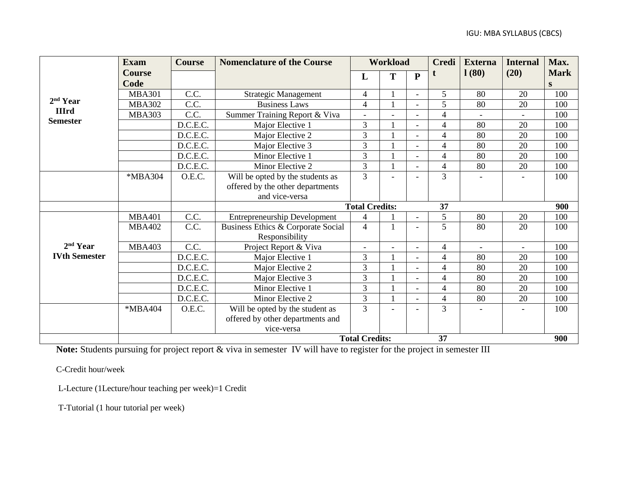|                      | <b>Exam</b>   | <b>Course</b> | <b>Nomenclature of the Course</b>   |                       | <b>Workload</b> |                | <b>Credi</b>             | <b>Externa</b> | <b>Internal</b>          | Max.        |
|----------------------|---------------|---------------|-------------------------------------|-----------------------|-----------------|----------------|--------------------------|----------------|--------------------------|-------------|
|                      | <b>Course</b> |               |                                     | L                     | Т               | ${\bf P}$      |                          | 1(80)          | (20)                     | <b>Mark</b> |
|                      | Code          |               |                                     |                       |                 |                |                          |                |                          | S           |
|                      | <b>MBA301</b> | C.C.          | <b>Strategic Management</b>         | 4                     |                 | $\blacksquare$ | 5                        | 80             | 20                       | 100         |
| 2 <sup>nd</sup> Year | <b>MBA302</b> | C.C.          | <b>Business Laws</b>                | $\overline{4}$        |                 |                | 5                        | 80             | 20                       | 100         |
| <b>IIIrd</b>         | <b>MBA303</b> | C.C.          | Summer Training Report & Viva       | $\overline{a}$        |                 |                | $\overline{\mathcal{L}}$ |                |                          | 100         |
| <b>Semester</b>      |               | D.C.E.C.      | Major Elective 1                    | 3                     |                 | $\overline{a}$ | $\overline{4}$           | 80             | 20                       | 100         |
|                      |               | D.C.E.C.      | Major Elective 2                    | 3                     |                 |                | $\overline{4}$           | 80             | 20                       | 100         |
|                      |               | D.C.E.C.      | Major Elective 3                    | 3                     |                 |                | 4                        | 80             | 20                       | 100         |
|                      |               | D.C.E.C.      | Minor Elective 1                    | 3                     |                 | $\blacksquare$ | $\overline{\mathcal{A}}$ | 80             | 20                       | 100         |
|                      |               | D.C.E.C.      | Minor Elective 2                    | 3                     |                 |                | $\overline{\mathcal{L}}$ | 80             | 20                       | 100         |
|                      | *MBA304       | O.E.C.        | Will be opted by the students as    | 3                     |                 |                | 3                        |                |                          | 100         |
|                      |               |               | offered by the other departments    |                       |                 |                |                          |                |                          |             |
|                      |               |               | and vice-versa                      |                       |                 |                |                          |                |                          |             |
|                      |               |               |                                     | <b>Total Credits:</b> |                 |                | 37                       |                |                          | 900         |
|                      | <b>MBA401</b> | C.C.          | <b>Entrepreneurship Development</b> | 4                     |                 | $\blacksquare$ | 5                        | 80             | 20                       | 100         |
|                      | <b>MBA402</b> | C.C.          | Business Ethics & Corporate Social  | $\overline{4}$        |                 |                | 5                        | 80             | 20                       | 100         |
|                      |               |               | Responsibility                      |                       |                 |                |                          |                |                          |             |
| 2 <sup>nd</sup> Year | <b>MBA403</b> | C.C.          | Project Report & Viva               |                       |                 |                | 4                        | $\overline{a}$ | $\overline{\phantom{a}}$ | 100         |
| <b>IVth Semester</b> |               | D.C.E.C.      | Major Elective 1                    | 3                     |                 | $\overline{a}$ | $\overline{4}$           | 80             | 20                       | 100         |
|                      |               | D.C.E.C.      | Major Elective 2                    | 3                     |                 | $\blacksquare$ | $\overline{4}$           | 80             | 20                       | 100         |
|                      |               | D.C.E.C.      | Major Elective 3                    | 3                     |                 |                | $\overline{\mathcal{L}}$ | 80             | 20                       | 100         |
|                      |               | D.C.E.C.      | Minor Elective 1                    | 3                     |                 |                | $\overline{\mathcal{L}}$ | 80             | 20                       | 100         |
|                      |               | D.C.E.C.      | Minor Elective 2                    | 3                     |                 | $\overline{a}$ | $\overline{4}$           | 80             | 20                       | 100         |
|                      | *MBA404       | O.E.C.        | Will be opted by the student as     | $\overline{3}$        |                 |                | 3                        |                |                          | 100         |
|                      |               |               | offered by other departments and    |                       |                 |                |                          |                |                          |             |
|                      |               |               | vice-versa                          |                       |                 |                |                          |                |                          |             |
|                      |               |               | 37<br><b>Total Credits:</b><br>900  |                       |                 |                |                          |                |                          |             |

**Note:** Students pursuing for project report & viva in semester IV will have to register for the project in semester III

C-Credit hour/week

L-Lecture (1Lecture/hour teaching per week)=1 Credit

T-Tutorial (1 hour tutorial per week)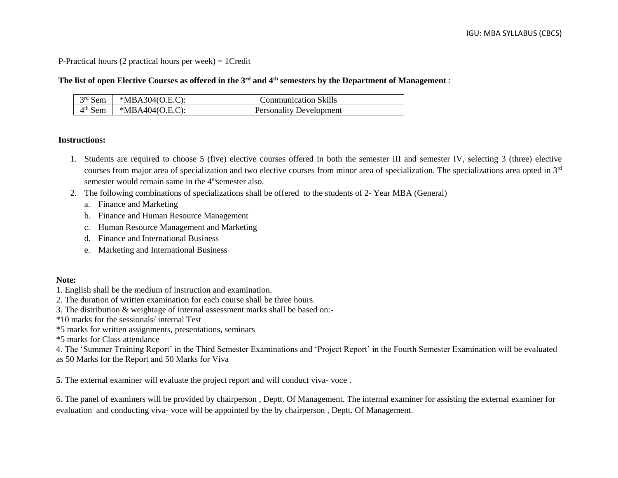P-Practical hours (2 practical hours per week) = 1Credit

#### The list of open Elective Courses as offered in the 3<sup>rd</sup> and 4<sup>th</sup> semesters by the Department of Management :

| 3rd Sem   | $*MBA304(O.E.C):$ | Communication Skills           |
|-----------|-------------------|--------------------------------|
| $4th$ Sem | $*MBA404(O.E.C):$ | <b>Personality Development</b> |

#### **Instructions:**

- 1. Students are required to choose 5 (five) elective courses offered in both the semester III and semester IV, selecting 3 (three) elective courses from major area of specialization and two elective courses from minor area of specialization. The specializations area opted in 3rd semester would remain same in the  $4<sup>th</sup>$ semester also.
- 2. The following combinations of specializations shall be offered to the students of 2- Year MBA (General)
	- a. Finance and Marketing
	- b. Finance and Human Resource Management
	- c. Human Resource Management and Marketing
	- d. Finance and International Business
	- e. Marketing and International Business

#### **Note:**

- 1. English shall be the medium of instruction and examination.
- 2. The duration of written examination for each course shall be three hours.
- 3. The distribution & weightage of internal assessment marks shall be based on:-
- \*10 marks for the sessionals/ internal Test
- \*5 marks for written assignments, presentations, seminars
- \*5 marks for Class attendance

4. The 'Summer Training Report' in the Third Semester Examinations and 'Project Report' in the Fourth Semester Examination will be evaluated as 50 Marks for the Report and 50 Marks for Viva

**5.** The external examiner will evaluate the project report and will conduct viva- voce .

6. The panel of examiners will be provided by chairperson , Deptt. Of Management. The internal examiner for assisting the external examiner for evaluation and conducting viva- voce will be appointed by the by chairperson , Deptt. Of Management.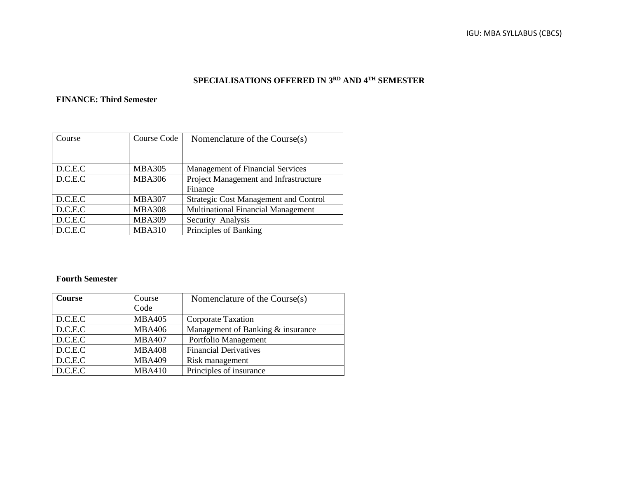# **SPECIALISATIONS OFFERED IN 3RD AND 4TH SEMESTER**

# **FINANCE: Third Semester**

| Course  | <b>Course Code</b> | Nomenclature of the Course(s)                |
|---------|--------------------|----------------------------------------------|
|         |                    |                                              |
| D.C.E.C | <b>MBA305</b>      | <b>Management of Financial Services</b>      |
| D.C.E.C | <b>MBA306</b>      | Project Management and Infrastructure        |
|         |                    | Finance                                      |
| D.C.E.C | <b>MBA307</b>      | <b>Strategic Cost Management and Control</b> |
| D.C.E.C | <b>MBA308</b>      | <b>Multinational Financial Management</b>    |
| D.C.E.C | <b>MBA309</b>      | Security Analysis                            |
| D.C.E.C | <b>MBA310</b>      | Principles of Banking                        |

| Course  | Course        | Nomenclature of the Course(s)     |
|---------|---------------|-----------------------------------|
|         | Code          |                                   |
| D.C.E.C | <b>MBA405</b> | Corporate Taxation                |
| D.C.E.C | <b>MBA406</b> | Management of Banking & insurance |
| D.C.E.C | <b>MBA407</b> | Portfolio Management              |
| D.C.E.C | <b>MBA408</b> | <b>Financial Derivatives</b>      |
| D.C.E.C | <b>MBA409</b> | Risk management                   |
| D.C.E.C | <b>MBA410</b> | Principles of insurance           |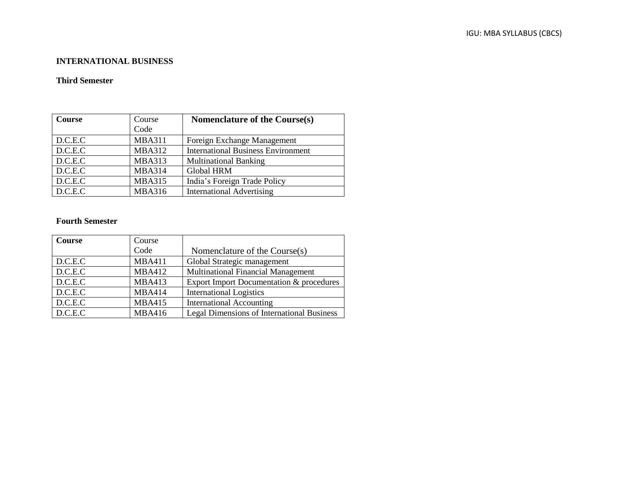# **INTERNATIONAL BUSINESS**

#### **Third Semester**

| Course  | Course        | Nomenclature of the Course(s)             |
|---------|---------------|-------------------------------------------|
|         | Code          |                                           |
| D.C.E.C | <b>MBA311</b> | Foreign Exchange Management               |
| D.C.E.C | <b>MBA312</b> | <b>International Business Environment</b> |
| D.C.E.C | <b>MBA313</b> | <b>Multinational Banking</b>              |
| D.C.E.C | <b>MBA314</b> | Global HRM                                |
| D.C.E.C | <b>MBA315</b> | India's Foreign Trade Policy              |
| D.C.E.C | <b>MBA316</b> | <b>International Advertising</b>          |

| Course  | Course        |                                                   |
|---------|---------------|---------------------------------------------------|
|         | Code          | Nomenclature of the Course(s)                     |
| D.C.E.C | <b>MBA411</b> | Global Strategic management                       |
| D.C.E.C | <b>MBA412</b> | <b>Multinational Financial Management</b>         |
| D.C.E.C | <b>MBA413</b> | Export Import Documentation & procedures          |
| D.C.E.C | <b>MBA414</b> | <b>International Logistics</b>                    |
| D.C.E.C | <b>MBA415</b> | <b>International Accounting</b>                   |
| D.C.E.C | <b>MBA416</b> | <b>Legal Dimensions of International Business</b> |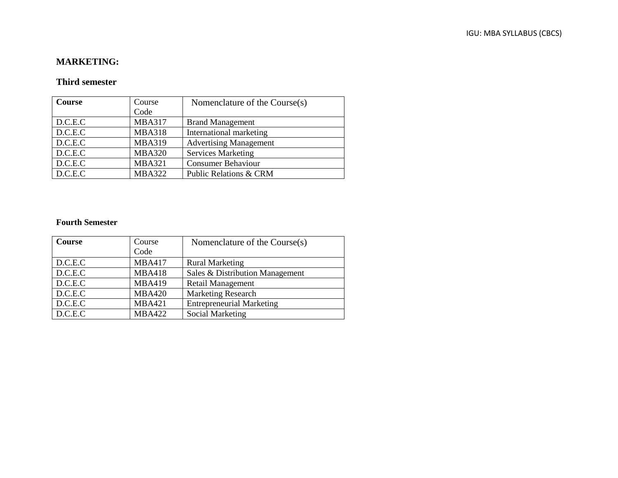# **MARKETING:**

# **Third semester**

| Course  | Course        | Nomenclature of the Course(s)     |
|---------|---------------|-----------------------------------|
|         | Code          |                                   |
| D.C.E.C | <b>MBA317</b> | <b>Brand Management</b>           |
| D.C.E.C | <b>MBA318</b> | International marketing           |
| D.C.E.C | <b>MBA319</b> | <b>Advertising Management</b>     |
| D.C.E.C | <b>MBA320</b> | <b>Services Marketing</b>         |
| D.C.E.C | <b>MBA321</b> | <b>Consumer Behaviour</b>         |
| D.C.E.C | <b>MBA322</b> | <b>Public Relations &amp; CRM</b> |

| Course  | Course<br>Code | Nomenclature of the Course(s)    |
|---------|----------------|----------------------------------|
| D.C.E.C | <b>MBA417</b>  | <b>Rural Marketing</b>           |
| D.C.E.C | <b>MBA418</b>  | Sales & Distribution Management  |
| D.C.E.C | <b>MBA419</b>  | <b>Retail Management</b>         |
| D.C.E.C | <b>MBA420</b>  | <b>Marketing Research</b>        |
| D.C.E.C | <b>MBA421</b>  | <b>Entrepreneurial Marketing</b> |
| D.C.E.C | <b>MBA422</b>  | Social Marketing                 |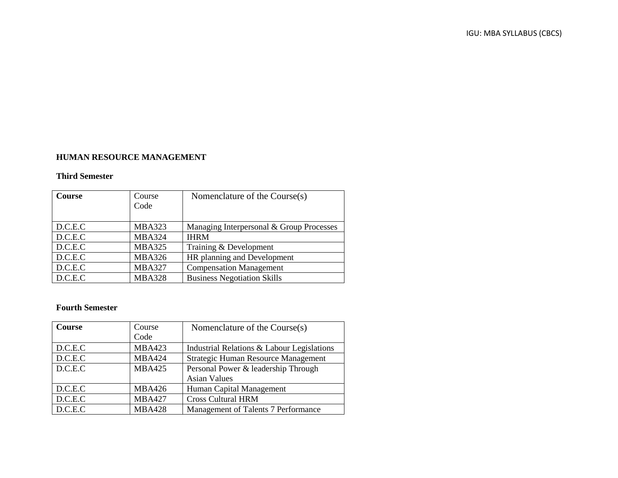### **HUMAN RESOURCE MANAGEMENT**

# **Third Semester**

| <b>Course</b> | Course<br>Code | Nomenclature of the Course(s)            |
|---------------|----------------|------------------------------------------|
| D.C.E.C       | <b>MBA323</b>  | Managing Interpersonal & Group Processes |
| D.C.E.C       | <b>MBA324</b>  | <b>IHRM</b>                              |
| D.C.E.C       | <b>MBA325</b>  | Training & Development                   |
| D.C.E.C       | <b>MBA326</b>  | HR planning and Development              |
| D.C.E.C       | <b>MBA327</b>  | <b>Compensation Management</b>           |
| D.C.E.C       | <b>MBA328</b>  | <b>Business Negotiation Skills</b>       |

| Course  | Course        | Nomenclature of the Course(s)              |
|---------|---------------|--------------------------------------------|
|         | Code          |                                            |
| D.C.E.C | <b>MBA423</b> | Industrial Relations & Labour Legislations |
| D.C.E.C | <b>MBA424</b> | Strategic Human Resource Management        |
| D.C.E.C | <b>MBA425</b> | Personal Power & leadership Through        |
|         |               | <b>Asian Values</b>                        |
| D.C.E.C | <b>MBA426</b> | Human Capital Management                   |
| D.C.E.C | <b>MBA427</b> | <b>Cross Cultural HRM</b>                  |
| D.C.E.C | <b>MBA428</b> | Management of Talents 7 Performance        |